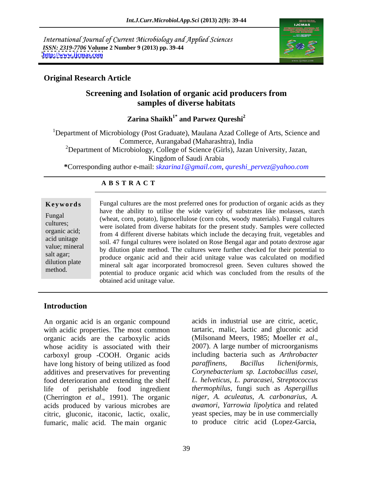International Journal of Current Microbiology and Applied Sciences *ISSN: 2319-7706* **Volume 2 Number 9 (2013) pp. 39-44 <http://www.ijcmas.com>**



# **Original Research Article**

# **Screening and Isolation of organic acid producers from samples of diverse habitats**

Zarina Shaikh<sup>1\*</sup> and Parwez Qureshi<sup>2</sup>  **and Parwez Qureshi<sup>2</sup>**

<sup>1</sup>Department of Microbiology (Post Graduate), Maulana Azad College of Arts, Science and Commerce, Aurangabad (Maharashtra), India <sup>2</sup>Department of Microbiology, College of Science (Girls), Jazan University, Jazan, Kingdom of Saudi Arabia **\***Corresponding author e-mail: *skzarina1@gmail.com*, *qureshi\_pervez@yahoo.com*

### **A B S T R A C T**

**Keywords** Fungal cultures are the most preferred ones for production of organic acids as they Fungal 
(wheat, corn, potato), lignocellulose (corn cobs, woody materials). Fungal cultures cultures; were isolated from diverse habitats for the present study. Samples were collected organic acid; From 4 different diverse habitats which include the decaying fruit, vegetables and acid unitage soil. 47 fungal cultures were isolated on Rose Bengal agar and potato dextrose agar value; mineral by dilution plate method. The cultures were further checked for their potential to salt agar;<br>produce organic acid and their acid unitage value was calculated on modified dilution plate mineral salt agar incorporated bromocresol green. Seven cultures showed the method. potential to produce organic acid which was concluded from the results of the have the ability to utilise the wide variety of substrates like molasses, starch obtained acid unitage value.

## **Introduction**

An organic acid is an organic compound with acidic properties. The most common tartaric, malic, lactic and gluconic acid organic acids are the carboxylic acids (Milsonand Meers, 1985; Moeller *et al.*, organic acids are the carboxylic acids whose acidity is associated with their 2007). A large number of microorganisms carboxyl group -COOH. Organic acids have long history of being utilized as food paraffinens, Bacillus licheniformis, additives and preservatives for preventing food deterioration and extending the shelf life of perishable food ingredient *thermophilus,* fungi such as *Aspergillus*  (Cherrington *et al*., 1991). The organic acids produced by various microbes are citric, gluconic, itaconic, lactic, oxalic, fumaric, malic acid. The main organic

acids in industrial use are citric, acetic, tartaric, malic, lactic and gluconic acid (Milsonand Meers, 1985; Moeller *et al*., 2007). A large number of microorganisms including bacteria such as *Arthrobacter paraf inens, Bacillus licheniformis, Corynebacterium sp. Lactobacillus casei, L. helveticus, L. paracasei, Streptococcus niger, A. aculeatus, A. carbonarius, A. awamori, Yarrowia lipolytic*a and related yeast species, may be in use commercially to produce citric acid (Lopez-Garcia,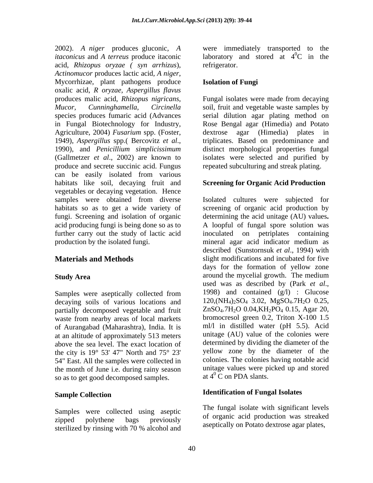2002). *A niger* produces gluconic*, A itaconicus* and *A terreus* produce itaconic acid, *Rhizopus oryzae ( syn arrhizus*), *Actinomucor* produces lactic acid*, <sup>A</sup> niger*, Mycorrhizae, plant pathogens produce oxalic acid, *R oryzae, Aspergillus flavus* produces malic acid, *Rhizopus nigricans,* Fungal isolates were made from decaying *Mucor, Cunninghamella*, *Circinella* soil, fruit and vegetable waste samples by species produces fumaric acid (Advances serial dilution agar plating method on in Fungal Biotechnology for Industry, Rose Bengal agar (Himedia) and Potato Agriculture, 2004) *Fusarium* spp. (Foster, 1949), *Aspergillus* spp.( Bercovitz *et al*., 1990), and *Penicillium simplicissimum* (Gallmetzer *et al*., 2002) are known to isolates were selected and purified by produce and secrete succinic acid. Fungus can be easily isolated from various habitats like soil, decaying fruit and vegetables or decaying vegetation. Hence samples were obtained from diverse Isolated cultures were subjected for habitats so as to get a wide variety of screening of organic acid production by fungi. Screening and isolation of organic determining the acid unitage (AU) values**.** acid producing fungi is being done so as to A loopful of fungal spore solution was further carry out the study of lactic acid inoculated on petriplates containing production by the isolated fungi. mineral agar acid indicator medium as

decaying soils of various locations and partially decomposed vegetable and fruit waste from nearby areas of local markets of Aurangabad (Maharashtra), India. It is at an altitude of approximately 513 meters above the sea level. The exact location of the city is  $19^{\circ}$  53' 47" North and  $75^{\circ}$  23' 54" East. All the samples were collected in the month of June i.e. during rainy season so as to get good decomposed samples.

Samples were collected using aseptic sterilized by rinsing with 70 % alcohol and were immediately transported to laboratory and stored at  $4^{\circ}$ C in the  ${}^{0}C$  in the refrigerator.

### **Isolation of Fungi**

dextrose agar (Himedia) plates in triplicates. Based on predominance and distinct morphological properties fungal repeated subculturing and streak plating.

### **Screening for Organic Acid Production**

**Materials and Methods** slight modifications and incubated for five **Study Area** around the mycelial growth. The medium<br>used was as described by (Park *et al.*, Samples were aseptically collected from 1998) and contained  $(g/1)$ : Glucose inoculated on petriplates containing described (Sunstornsuk *et al*., 1994) with days for the formation of yellow zone around the mycelial growth. The medium used was as described by (Park *et al*., 1998) and contained (g/l) : Glucose 120,(NH4)2SO4 3.02, MgSO4.7H2O 0.25, ZnSO<sub>4</sub>.7H<sub>2</sub>O 0.04, KH<sub>2</sub>PO<sub>4</sub> 0.15, Agar 20, bromocresol green 0.2, Triton X-100 1.5 ml/l in distilled water (pH 5.5). Acid unitage (AU) value of the colonies were determined by dividing the diameter of the yellow zone by the diameter of the colonies. The colonies having notable acid unitage values were picked up and stored at  $4^{\circ}$  C on PDA slants. at  $4^0$  C on PDA slants.

# **Sample Collection Identification of Fungal Isolates**

zipped polythene bags previously of organic and production was sucared The fungal isolate with significant levels of organic acid production was streaked aseptically on Potato dextrose agar plates,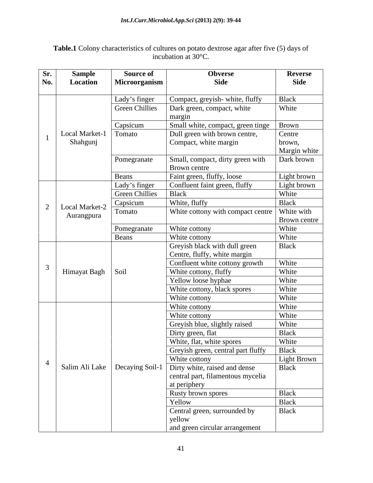**Table.1** Colony characteristics of cultures on potato dextrose agar after five (5) days of incubation at  $30^{\circ}$ C.

| Sr.      | <b>Sample</b>           | <b>Source of</b>      | <b>Obverse</b>                                                                          | <b>Reverse</b>               |
|----------|-------------------------|-----------------------|-----------------------------------------------------------------------------------------|------------------------------|
| No.      | Location                | Microorganism         | <b>Side</b>                                                                             | <b>Side</b>                  |
|          |                         |                       |                                                                                         |                              |
|          |                         | Lady's finger         | Compact, greyish-white, fluffy                                                          | Black                        |
|          |                         | <b>Green Chillies</b> | Dark green, compact, white                                                              | White                        |
|          |                         |                       | margin                                                                                  |                              |
|          |                         | Capsicum              | Small white, compact, green tinge   Brown                                               |                              |
|          | Local Market-1   Tomato |                       | Dull green with brown centre,                                                           | Centre                       |
|          | Shahgunj                |                       | Compact, white margin                                                                   | brown,                       |
|          |                         |                       |                                                                                         | Margin white                 |
|          |                         | Pomegranate           | Small, compact, dirty green with                                                        | Dark brown                   |
|          |                         |                       | Brown centre                                                                            |                              |
|          |                         | Beans                 | Faint green, fluffy, loose                                                              | Light brown<br>Light brown   |
|          |                         | Lady's finger         | Confluent faint green, fluffy                                                           |                              |
|          |                         | <b>Green Chillies</b> | Black                                                                                   | White                        |
| $\Omega$ | Local Market-2          | Capsicum              | White, fluffy                                                                           | Black                        |
|          | Aurangpura              | Tomato                | White cottony with compact centre                                                       | White with                   |
|          |                         |                       |                                                                                         | <b>Brown centre</b><br>White |
|          |                         | Pomegranate           | White cottony<br>White cottony                                                          | White                        |
|          |                         | Beans                 |                                                                                         | Black                        |
|          |                         |                       | Greyish black with dull green<br>Centre, fluffy, white margin                           |                              |
|          |                         |                       | Confluent white cottony growth                                                          | White                        |
|          | Himayat Bagh Soil       |                       | White cottony, fluffy                                                                   | White                        |
|          |                         |                       | Yellow loose hyphae                                                                     | White                        |
|          |                         |                       | White cottony, black spores                                                             | White                        |
|          |                         |                       | White cottony                                                                           | White                        |
|          |                         |                       | White cottony                                                                           | White                        |
|          |                         |                       | White cottony                                                                           | <b>White</b>                 |
|          |                         |                       | Greyish blue, slightly raised                                                           | White                        |
|          |                         |                       | Dirty green, flat                                                                       | Black                        |
|          |                         |                       | White, flat, white spores                                                               | White                        |
|          |                         |                       | Greyish green, central part fluffy                                                      | Black                        |
|          |                         |                       | White cottony                                                                           | Light Brown                  |
|          |                         |                       | Salim Ali Lake   Decaying Soil-1 $\sqrt{\text{Dirty} \text{ white}}$ , raised and dense | Black                        |
|          |                         |                       | central part, filamentous mycelia                                                       |                              |
|          |                         |                       | at periphery                                                                            |                              |
|          |                         |                       | Rusty brown spores                                                                      | Black                        |
|          |                         |                       | Yellow                                                                                  | Black                        |
|          |                         |                       | Central green, surrounded by                                                            | <b>Black</b>                 |
|          |                         |                       | yellow                                                                                  |                              |
|          |                         |                       | and green circular arrangement                                                          |                              |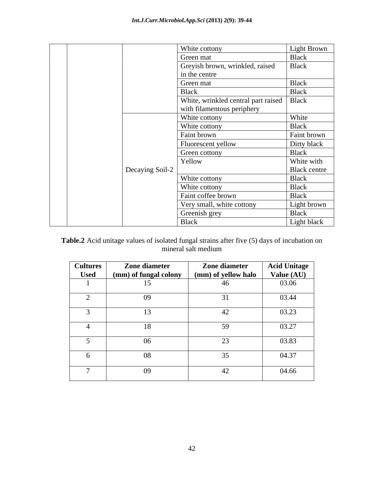|                 | White cottony                                                             | Light Brown  |  |  |  |  |
|-----------------|---------------------------------------------------------------------------|--------------|--|--|--|--|
|                 | Green mat                                                                 | Black        |  |  |  |  |
|                 | Greyish brown, wrinkled, raised                                           | Black        |  |  |  |  |
|                 | in the centre                                                             |              |  |  |  |  |
|                 | Green mat                                                                 | Black        |  |  |  |  |
|                 | <b>Black</b>                                                              | Black        |  |  |  |  |
|                 | White, wrinkled central part raised   Black<br>with filamentous periphery |              |  |  |  |  |
|                 | White cottony                                                             | White        |  |  |  |  |
|                 | White cottony                                                             | Black        |  |  |  |  |
|                 | Faint brown                                                               | Faint brown  |  |  |  |  |
|                 | Fluorescent yellow                                                        | Dirty black  |  |  |  |  |
|                 | Green cottony                                                             | Black        |  |  |  |  |
|                 | Yellow                                                                    | White with   |  |  |  |  |
| Decaying Soil-2 |                                                                           | Black centre |  |  |  |  |
|                 | White cottony                                                             | Black        |  |  |  |  |
|                 | White cottony                                                             | Black        |  |  |  |  |
|                 | Faint coffee brown                                                        | Black        |  |  |  |  |
|                 | Very small, white cottony                                                 | Light brown  |  |  |  |  |
|                 | Greenish grey                                                             | Black        |  |  |  |  |
|                 | <b>Black</b>                                                              | Light black  |  |  |  |  |

### **Table.2** Acid unitage values of isolated fungal strains after five (5) days of incubation on mineral salt medium mineral salt medium

| <b>Cultures</b> | Zone diameter         | Zone diameter       | <b>Acid Unitage</b> |
|-----------------|-----------------------|---------------------|---------------------|
| <b>Used</b>     | (mm) of fungal colony | (mm) of yellow halo | Value (AU)          |
|                 |                       | 46                  | 03.06               |
|                 | 09                    | 31                  | 03.44               |
|                 |                       | 42                  | 03.23               |
|                 | 18                    | 59                  | 03.27               |
|                 | 06                    | 23                  | 03.83               |
| n               | 08                    | 35                  | 04.37               |
|                 | 09                    | 42                  | 04.66               |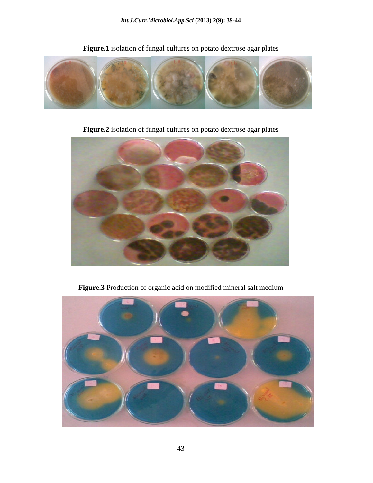

**Figure.1** isolation of fungal cultures on potato dextrose agar plates

 **Figure.2** isolation of fungal cultures on potato dextrose agar plates



**Figure.3** Production of organic acid on modified mineral salt medium